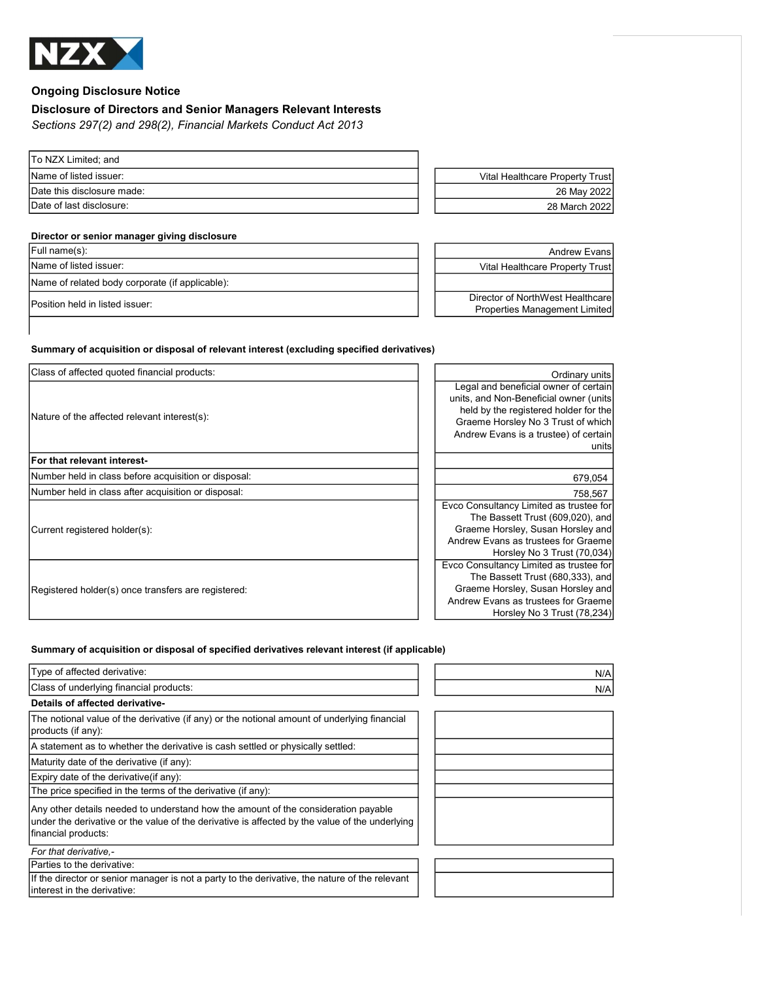

# Ongoing Disclosure Notice

## Disclosure of Directors and Senior Managers Relevant Interests

Sections 297(2) and 298(2), Financial Markets Conduct Act 2013

| To NZX Limited; and        |                                 |
|----------------------------|---------------------------------|
| Name of listed issuer:     | Vital Healthcare Property Trust |
| Date this disclosure made: | 26 May 2022                     |
| Date of last disclosure:   | 28 March 2022                   |
|                            |                                 |

### Director or senior manager giving disclosure

| Full name(s):                                   | <b>Andrew Evansl</b>                                                     |
|-------------------------------------------------|--------------------------------------------------------------------------|
| Name of listed issuer:                          | Vital Healthcare Property Trust                                          |
| Name of related body corporate (if applicable): |                                                                          |
| Position held in listed issuer:                 | Director of NorthWest Healthcare<br><b>Properties Management Limited</b> |

#### Summary of acquisition or disposal of relevant interest (excluding specified derivatives)

| Class of affected quoted financial products:         | Ordinary units                          |
|------------------------------------------------------|-----------------------------------------|
|                                                      | Legal and beneficial owner of certain   |
|                                                      | units, and Non-Beneficial owner (units  |
|                                                      | held by the registered holder for the   |
| Nature of the affected relevant interest(s):         | Graeme Horsley No 3 Trust of which      |
|                                                      | Andrew Evans is a trustee) of certain   |
|                                                      | units                                   |
| For that relevant interest-                          |                                         |
| Number held in class before acquisition or disposal: | 679,054                                 |
| Number held in class after acquisition or disposal:  | 758,567                                 |
|                                                      | Evco Consultancy Limited as trustee for |
|                                                      | The Bassett Trust (609,020), and        |
| Current registered holder(s):                        | Graeme Horsley, Susan Horsley and       |
|                                                      | Andrew Evans as trustees for Graemel    |
|                                                      | Horsley No 3 Trust (70,034)             |
| Registered holder(s) once transfers are registered:  | Evco Consultancy Limited as trustee for |
|                                                      | The Bassett Trust (680,333), and        |
|                                                      | Graeme Horsley, Susan Horsley and       |
|                                                      | Andrew Evans as trustees for Graeme     |
|                                                      | Horsley No 3 Trust (78,234)             |

#### Summary of acquisition or disposal of specified derivatives relevant interest (if applicable)

| Type of affected derivative:                                                                                                                                                                                | N/A |
|-------------------------------------------------------------------------------------------------------------------------------------------------------------------------------------------------------------|-----|
| Class of underlying financial products:                                                                                                                                                                     | N/A |
| Details of affected derivative-                                                                                                                                                                             |     |
| The notional value of the derivative (if any) or the notional amount of underlying financial<br>products (if any):                                                                                          |     |
| A statement as to whether the derivative is cash settled or physically settled:                                                                                                                             |     |
| Maturity date of the derivative (if any):                                                                                                                                                                   |     |
| Expiry date of the derivative (if any):                                                                                                                                                                     |     |
| The price specified in the terms of the derivative (if any):                                                                                                                                                |     |
| Any other details needed to understand how the amount of the consideration payable<br>under the derivative or the value of the derivative is affected by the value of the underlying<br>financial products: |     |
| For that derivative.-                                                                                                                                                                                       |     |
| Parties to the derivative:                                                                                                                                                                                  |     |
| If the director or senior manager is not a party to the derivative, the nature of the relevant<br>interest in the derivative:                                                                               |     |